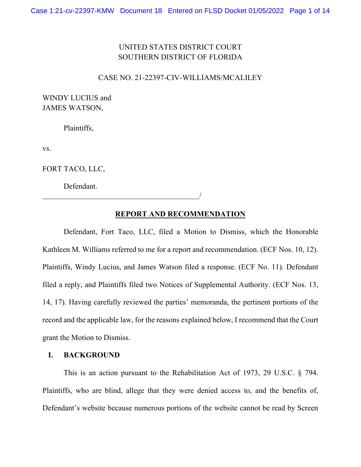# UNITED STATES DISTRICT COURT SOUTHERN DISTRICT OF FLORIDA

#### CASE NO. 21-22397-CIV-WILLIAMS/MCALILEY

WINDY LUCIUS and JAMES WATSON,

Plaintiffs,

vs.

FORT TACO, LLC,

Defendant.

 $\overline{\phantom{a}}$ 

## **REPORT AND RECOMMENDATION**

Defendant, Fort Taco, LLC, filed a Motion to Dismiss, which the Honorable Kathleen M. Williams referred to me for a report and recommendation. (ECF Nos. 10, 12). Plaintiffs, Windy Lucius, and James Watson filed a response. (ECF No. 11). Defendant filed a reply, and Plaintiffs filed two Notices of Supplemental Authority. (ECF Nos. 13, 14, 17). Having carefully reviewed the parties' memoranda, the pertinent portions of the record and the applicable law, for the reasons explained below, I recommend that the Court grant the Motion to Dismiss.

# **I. BACKGROUND**

This is an action pursuant to the Rehabilitation Act of 1973, 29 U.S.C. § 794. Plaintiffs, who are blind, allege that they were denied access to, and the benefits of, Defendant's website because numerous portions of the website cannot be read by Screen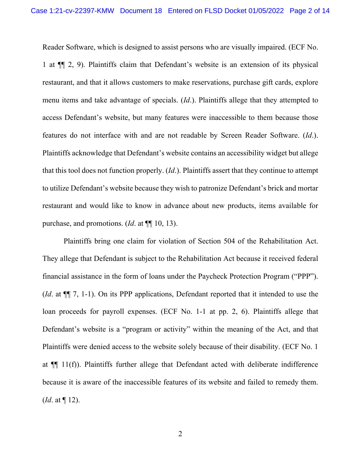Reader Software, which is designed to assist persons who are visually impaired. (ECF No. 1 at ¶¶ 2, 9). Plaintiffs claim that Defendant's website is an extension of its physical restaurant, and that it allows customers to make reservations, purchase gift cards, explore menu items and take advantage of specials. (*Id*.). Plaintiffs allege that they attempted to access Defendant's website, but many features were inaccessible to them because those features do not interface with and are not readable by Screen Reader Software. (*Id*.). Plaintiffs acknowledge that Defendant's website contains an accessibility widget but allege that this tool does not function properly. (*Id*.). Plaintiffs assert that they continue to attempt to utilize Defendant's website because they wish to patronize Defendant's brick and mortar restaurant and would like to know in advance about new products, items available for purchase, and promotions. (*Id*. at ¶¶ 10, 13).

Plaintiffs bring one claim for violation of Section 504 of the Rehabilitation Act. They allege that Defendant is subject to the Rehabilitation Act because it received federal financial assistance in the form of loans under the Paycheck Protection Program ("PPP"). (*Id*. at ¶¶ 7, 1-1). On its PPP applications, Defendant reported that it intended to use the loan proceeds for payroll expenses. (ECF No. 1-1 at pp. 2, 6). Plaintiffs allege that Defendant's website is a "program or activity" within the meaning of the Act, and that Plaintiffs were denied access to the website solely because of their disability. (ECF No. 1 at ¶¶ 11(f)). Plaintiffs further allege that Defendant acted with deliberate indifference because it is aware of the inaccessible features of its website and failed to remedy them. (*Id*. at ¶ 12).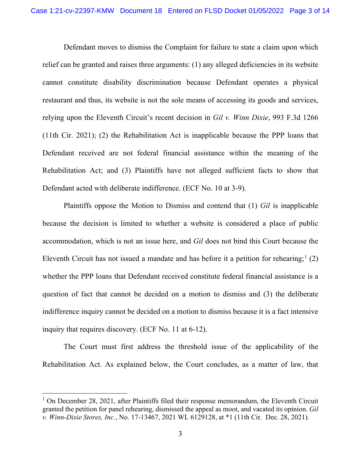Defendant moves to dismiss the Complaint for failure to state a claim upon which relief can be granted and raises three arguments: (1) any alleged deficiencies in its website cannot constitute disability discrimination because Defendant operates a physical restaurant and thus, its website is not the sole means of accessing its goods and services, relying upon the Eleventh Circuit's recent decision in *Gil v. Winn Dixie*, 993 F.3d 1266 (11th Cir. 2021); (2) the Rehabilitation Act is inapplicable because the PPP loans that Defendant received are not federal financial assistance within the meaning of the Rehabilitation Act; and (3) Plaintiffs have not alleged sufficient facts to show that Defendant acted with deliberate indifference. (ECF No. 10 at 3-9).

Plaintiffs oppose the Motion to Dismiss and contend that (1) *Gil* is inapplicable because the decision is limited to whether a website is considered a place of public accommodation, which is not an issue here, and *Gil* does not bind this Court because the Eleventh Circuit has not issued a mandate and has before it a petition for rehearing;<sup>[1](#page-2-0)</sup> (2) whether the PPP loans that Defendant received constitute federal financial assistance is a question of fact that cannot be decided on a motion to dismiss and (3) the deliberate indifference inquiry cannot be decided on a motion to dismiss because it is a fact intensive inquiry that requires discovery. (ECF No. 11 at 6-12).

The Court must first address the threshold issue of the applicability of the Rehabilitation Act. As explained below, the Court concludes, as a matter of law, that

<span id="page-2-0"></span> $1$  On December 28, 2021, after Plaintiffs filed their response memorandum, the Eleventh Circuit granted the petition for panel rehearing, dismissed the appeal as moot, and vacated its opinion. *Gil v. Winn-Dixie Stores, Inc.*, No. 17-13467, 2021 WL 6129128, at \*1 (11th Cir. Dec. 28, 2021).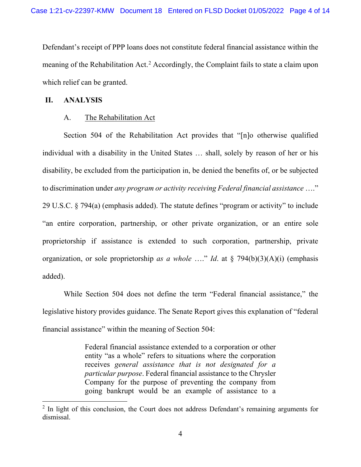Defendant's receipt of PPP loans does not constitute federal financial assistance within the meaning of the Rehabilitation Act.<sup>[2](#page-3-0)</sup> Accordingly, the Complaint fails to state a claim upon which relief can be granted.

## **II. ANALYSIS**

### A. The Rehabilitation Act

Section 504 of the Rehabilitation Act provides that "[n]o otherwise qualified individual with a disability in the United States … shall, solely by reason of her or his disability, be excluded from the participation in, be denied the benefits of, or be subjected to discrimination under *any program or activity receiving Federal financial assistance* …." 29 U.S.C. § 794(a) (emphasis added). The statute defines "program or activity" to include "an entire corporation, partnership, or other private organization, or an entire sole proprietorship if assistance is extended to such corporation, partnership, private organization, or sole proprietorship *as a whole* …." *Id*. at § 794(b)(3)(A)(i) (emphasis added).

While Section 504 does not define the term "Federal financial assistance," the legislative history provides guidance. The Senate Report gives this explanation of "federal financial assistance" within the meaning of Section 504:

> Federal financial assistance extended to a corporation or other entity "as a whole" refers to situations where the corporation receives *general assistance that is not designated for a particular purpose*. Federal financial assistance to the Chrysler Company for the purpose of preventing the company from going bankrupt would be an example of assistance to a

<span id="page-3-0"></span> $2$  In light of this conclusion, the Court does not address Defendant's remaining arguments for dismissal.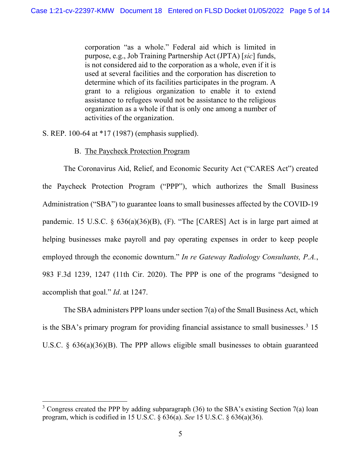corporation "as a whole." Federal aid which is limited in purpose, e.g., Job Training Partnership Act (JPTA) [*sic*] funds, is not considered aid to the corporation as a whole, even if it is used at several facilities and the corporation has discretion to determine which of its facilities participates in the program. A grant to a religious organization to enable it to extend assistance to refugees would not be assistance to the religious organization as a whole if that is only one among a number of activities of the organization.

S. REP. 100-64 at \*17 (1987) (emphasis supplied).

# B. The Paycheck Protection Program

The Coronavirus Aid, Relief, and Economic Security Act ("CARES Act") created the Paycheck Protection Program ("PPP"), which authorizes the Small Business Administration ("SBA") to guarantee loans to small businesses affected by the COVID-19 pandemic. 15 U.S.C. § 636(a)(36)(B), (F). "The [CARES] Act is in large part aimed at helping businesses make payroll and pay operating expenses in order to keep people employed through the economic downturn." *In re Gateway Radiology Consultants, P.A.*, 983 F.3d 1239, 1247 (11th Cir. 2020). The PPP is one of the programs "designed to accomplish that goal." *Id*. at 1247.

The SBA administers PPP loans under section 7(a) of the Small Business Act, which is the SBA's primary program for providing financial assistance to small businesses.<sup>[3](#page-4-0)</sup> 15 U.S.C. § 636(a)(36)(B). The PPP allows eligible small businesses to obtain guaranteed

<span id="page-4-0"></span> $3$  Congress created the PPP by adding subparagraph (36) to the SBA's existing Section 7(a) loan program, which is codified in 15 U.S.C. § [636\(a\).](https://1.next.westlaw.com/Link/Document/FullText?findType=L&pubNum=1000546&cite=15USCAS636&originatingDoc=I0babcdb0a73711eabb269ba69a79554c&refType=RB&originationContext=document&transitionType=DocumentItem&ppcid=174087023ef6442fbecbe1a11388af64&contextData=(sc.Search)#co_pp_8b3b0000958a4) *See* 15 U.S.C. § [636\(a\)\(36\)](https://1.next.westlaw.com/Link/Document/FullText?findType=L&pubNum=1000546&cite=15USCAS636&originatingDoc=I0babcdb0a73711eabb269ba69a79554c&refType=RB&originationContext=document&transitionType=DocumentItem&ppcid=174087023ef6442fbecbe1a11388af64&contextData=(sc.Search)#co_pp_017400000a5c2).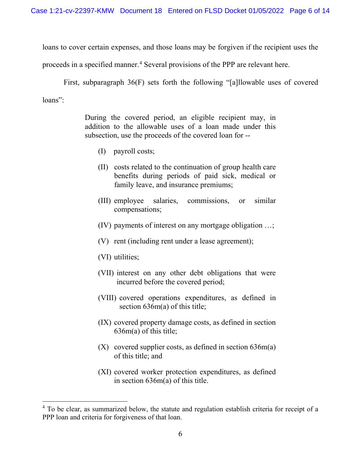loans to cover certain expenses, and those loans may be forgiven if the recipient uses the

proceeds in a specified manner.<sup>[4](#page-5-0)</sup> Several provisions of the PPP are relevant here.

First, subparagraph 36(F) sets forth the following "[a]llowable uses of covered loans":

> During the covered period, an eligible recipient may, in addition to the allowable uses of a loan made under this subsection, use the proceeds of the covered loan for --

- (I) payroll costs;
- (II) costs related to the continuation of group health care benefits during periods of paid sick, medical or family leave, and insurance premiums;
- (III) employee salaries, commissions, or similar compensations;
- (IV) payments of interest on any mortgage obligation …;
- (V) rent (including rent under a lease agreement);
- (VI) utilities;
- (VII) interest on any other debt obligations that were incurred before the covered period;
- (VIII) covered operations expenditures, as defined in section 636m(a) of this title;
- (IX) covered property damage costs, as defined in section 636m(a) of this title;
- (X) covered supplier costs, as defined in section 636m(a) of this title; and
- (XI) covered worker protection expenditures, as defined in section 636m(a) of this title.

<span id="page-5-0"></span><sup>&</sup>lt;sup>4</sup> To be clear, as summarized below, the statute and regulation establish criteria for receipt of a PPP loan and criteria for forgiveness of that loan.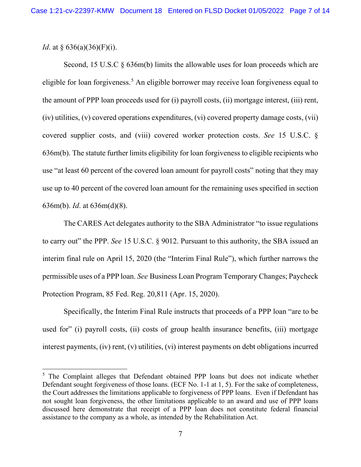# *Id.* at § 636(a)(36)(F)(i).

Second, 15 U.S.C § 636m(b) limits the allowable uses for loan proceeds which are eligible for loan forgiveness. [5](#page-6-0) An eligible borrower may receive loan forgiveness equal to the amount of PPP loan proceeds used for (i) payroll costs, (ii) mortgage interest, (iii) rent, (iv) utilities, (v) covered operations expenditures, (vi) covered property damage costs, (vii) covered supplier costs, and (viii) covered worker protection costs. *See* 15 U.S.C. § 636m(b). The statute further limits eligibility for loan forgiveness to eligible recipients who use "at least 60 percent of the covered loan amount for payroll costs" noting that they may use up to 40 percent of the covered loan amount for the remaining uses specified in section 636m(b). *Id*. at 636m(d)(8).

The CARES Act delegates authority to the SBA Administrator "to issue regulations to carry out" the PPP. *See* 15 U.S.C. § 9012. Pursuant to this authority, the SBA issued an interim final rule on April 15, 2020 (the "Interim Final Rule"), which further narrows the permissible uses of a PPP loan. *See* Business Loan Program [Temporary](https://1.next.westlaw.com/Link/Document/FullText?findType=l&pubNum=0001037&cite=UUID(IF4746CB07EE611EABFFEB5755B462BB2)&originatingDoc=Icdc66000e34511eabffee32622d22314&refType=CP&fi=co_pp_sp_1037_20811&originationContext=document&transitionType=DocumentItem&ppcid=2c3485f01d174a6791532ae2aa0896c4&contextData=(sc.Search)#co_pp_sp_1037_20811) Changes; Paycheck [Protection](https://1.next.westlaw.com/Link/Document/FullText?findType=l&pubNum=0001037&cite=UUID(IF4746CB07EE611EABFFEB5755B462BB2)&originatingDoc=Icdc66000e34511eabffee32622d22314&refType=CP&fi=co_pp_sp_1037_20811&originationContext=document&transitionType=DocumentItem&ppcid=2c3485f01d174a6791532ae2aa0896c4&contextData=(sc.Search)#co_pp_sp_1037_20811) Program, 85 Fed. Reg. 20,811 (Apr. 15, 2020).

Specifically, the Interim Final Rule instructs that proceeds of a PPP loan "are to be used for" (i) payroll costs, (ii) costs of group health insurance benefits, (iii) mortgage interest payments, (iv) rent, (v) utilities, (vi) interest payments on debt obligations incurred

<span id="page-6-0"></span><sup>&</sup>lt;sup>5</sup> The Complaint alleges that Defendant obtained PPP loans but does not indicate whether Defendant sought forgiveness of those loans. (ECF No. 1-1 at 1, 5). For the sake of completeness, the Court addresses the limitations applicable to forgiveness of PPP loans. Even if Defendant has not sought loan forgiveness, the other limitations applicable to an award and use of PPP loans discussed here demonstrate that receipt of a PPP loan does not constitute federal financial assistance to the company as a whole, as intended by the Rehabilitation Act.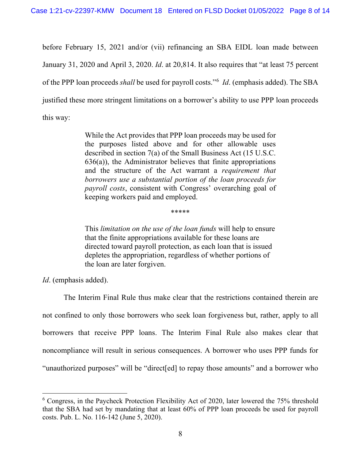before February 15, 2021 and/or (vii) refinancing an SBA EIDL loan made between January 31, 2020 and April 3, 2020. *Id*. at 20,814. It also requires that "at least 75 percent of the PPP loan proceeds *shall* be used for payroll costs."[6](#page-7-0) *Id*. (emphasis added). The SBA justified these more stringent limitations on a borrower's ability to use PPP loan proceeds this way:

> While the Act provides that PPP loan proceeds may be used for the purposes listed above and for other allowable uses described in section 7(a) of the Small Business Act (15 U.S.C. 636(a)), the Administrator believes that finite appropriations and the structure of the Act warrant a *requirement that borrowers use a substantial portion of the loan proceeds for payroll costs*, consistent with Congress' overarching goal of keeping workers paid and employed.

> > \*\*\*\*\*

This *limitation on the use of the loan funds* will help to ensure that the finite appropriations available for these loans are directed toward payroll protection, as each loan that is issued depletes the appropriation, regardless of whether portions of the loan are later forgiven.

*Id*. (emphasis added).

The Interim Final Rule thus make clear that the restrictions contained therein are not confined to only those borrowers who seek loan forgiveness but, rather, apply to all borrowers that receive PPP loans. The Interim Final Rule also makes clear that noncompliance will result in serious consequences. A borrower who uses PPP funds for "unauthorized purposes" will be "direct[ed] to repay those amounts" and a borrower who

<span id="page-7-0"></span><sup>6</sup> Congress, in the Paycheck Protection Flexibility Act of 2020, later lowered the 75% threshold that the SBA had set by mandating that at least 60% of PPP loan proceeds be used for payroll costs. Pub. L. No. 116-142 (June 5, 2020).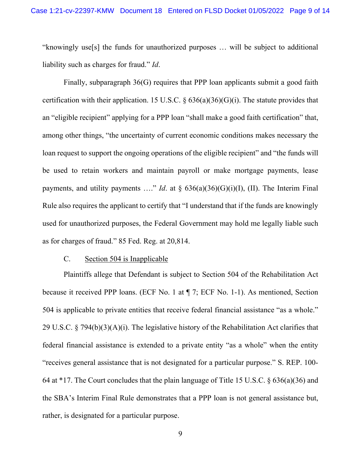"knowingly use[s] the funds for unauthorized purposes … will be subject to additional liability such as charges for fraud." *Id*.

Finally, subparagraph 36(G) requires that PPP loan applicants submit a good faith certification with their application. 15 U.S.C.  $\S 636(a)(36)(G)(i)$ . The statute provides that an "eligible recipient" applying for a PPP loan "shall make a good faith certification" that, among other things, "the uncertainty of current economic conditions makes necessary the loan request to support the ongoing operations of the eligible recipient" and "the funds will be used to retain workers and maintain payroll or make mortgage payments, lease payments, and utility payments ...." *Id*. at  $\delta$  636(a)(36)(G)(i)(I), (II). The Interim Final Rule also requires the applicant to certify that "I understand that if the funds are knowingly used for unauthorized purposes, the Federal Government may hold me legally liable such as for charges of fraud." 85 Fed. Reg. at 20,814.

#### C. Section 504 is Inapplicable

Plaintiffs allege that Defendant is subject to Section 504 of the Rehabilitation Act because it received PPP loans. (ECF No. 1 at ¶ 7; ECF No. 1-1). As mentioned, Section 504 is applicable to private entities that receive federal financial assistance "as a whole." 29 U.S.C. § 794(b)(3)(A)(i). The legislative history of the Rehabilitation Act clarifies that federal financial assistance is extended to a private entity "as a whole" when the entity "receives general assistance that is not designated for a particular purpose." S. REP. 100- 64 at \*17. The Court concludes that the plain language of Title 15 U.S.C. § 636(a)(36) and the SBA's Interim Final Rule demonstrates that a PPP loan is not general assistance but, rather, is designated for a particular purpose.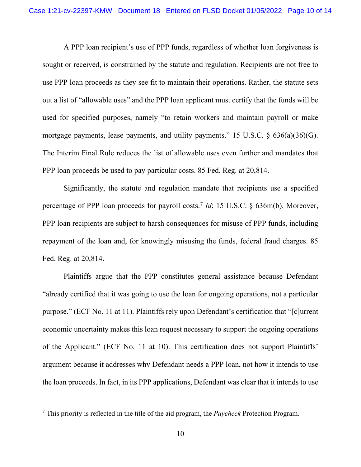A PPP loan recipient's use of PPP funds, regardless of whether loan forgiveness is sought or received, is constrained by the statute and regulation. Recipients are not free to use PPP loan proceeds as they see fit to maintain their operations. Rather, the statute sets out a list of "allowable uses" and the PPP loan applicant must certify that the funds will be used for specified purposes, namely "to retain workers and maintain payroll or make mortgage payments, lease payments, and utility payments." 15 U.S.C. § 636(a)(36)(G). The Interim Final Rule reduces the list of allowable uses even further and mandates that PPP loan proceeds be used to pay particular costs. 85 Fed. Reg. at 20,814.

Significantly, the statute and regulation mandate that recipients use a specified percentage of PPP loan proceeds for payroll costs.[7](#page-9-0) *Id*; 15 U.S.C. § 636m(b). Moreover, PPP loan recipients are subject to harsh consequences for misuse of PPP funds, including repayment of the loan and, for knowingly misusing the funds, federal fraud charges. 85 Fed. Reg. at 20,814.

Plaintiffs argue that the PPP constitutes general assistance because Defendant "already certified that it was going to use the loan for ongoing operations, not a particular purpose." (ECF No. 11 at 11). Plaintiffs rely upon Defendant's certification that "[c]urrent economic uncertainty makes this loan request necessary to support the ongoing operations of the Applicant." (ECF No. 11 at 10). This certification does not support Plaintiffs' argument because it addresses why Defendant needs a PPP loan, not how it intends to use the loan proceeds. In fact, in its PPP applications, Defendant was clear that it intends to use

<span id="page-9-0"></span><sup>7</sup> This priority is reflected in the title of the aid program, the *Paycheck* Protection Program.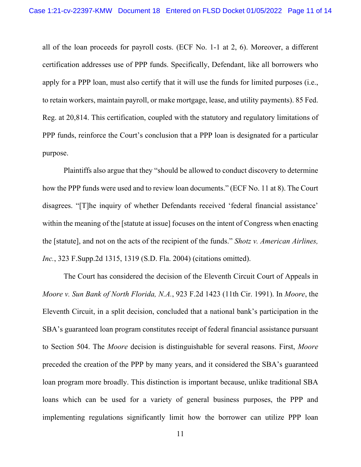all of the loan proceeds for payroll costs. (ECF No. 1-1 at 2, 6). Moreover, a different certification addresses use of PPP funds. Specifically, Defendant, like all borrowers who apply for a PPP loan, must also certify that it will use the funds for limited purposes (i.e., to retain workers, maintain payroll, or make mortgage, lease, and utility payments). 85 Fed. Reg. at 20,814. This certification, coupled with the statutory and regulatory limitations of PPP funds, reinforce the Court's conclusion that a PPP loan is designated for a particular purpose.

Plaintiffs also argue that they "should be allowed to conduct discovery to determine how the PPP funds were used and to review loan documents." (ECF No. 11 at 8). The Court disagrees. "[T]he inquiry of whether Defendants received 'federal financial assistance' within the meaning of the [statute at issue] focuses on the intent of Congress when enacting the [statute], and not on the acts of the recipient of the funds." *Shotz v. American Airlines, Inc.*, 323 F.Supp.2d 1315, 1319 (S.D. Fla. 2004) (citations omitted).

The Court has considered the decision of the Eleventh Circuit Court of Appeals in *Moore v. Sun Bank of North Florida, N.A.*, 923 F.2d 1423 (11th Cir. 1991). In *Moore*, the Eleventh Circuit, in a split decision, concluded that a national bank's participation in the SBA's guaranteed loan program constitutes receipt of federal financial assistance pursuant to Section 504. The *Moore* decision is distinguishable for several reasons. First, *Moore*  preceded the creation of the PPP by many years, and it considered the SBA's guaranteed loan program more broadly. This distinction is important because, unlike traditional SBA loans which can be used for a variety of general business purposes, the PPP and implementing regulations significantly limit how the borrower can utilize PPP loan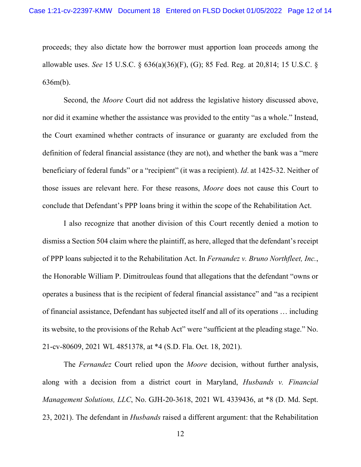proceeds; they also dictate how the borrower must apportion loan proceeds among the allowable uses. *See* 15 U.S.C. § 636(a)(36)(F), (G); 85 Fed. Reg. at 20,814; 15 U.S.C. § 636m(b).

Second, the *Moore* Court did not address the legislative history discussed above, nor did it examine whether the assistance was provided to the entity "as a whole." Instead, the Court examined whether contracts of insurance or guaranty are excluded from the definition of federal financial assistance (they are not), and whether the bank was a "mere beneficiary of federal funds" or a "recipient" (it was a recipient). *Id*. at 1425-32. Neither of those issues are relevant here. For these reasons, *Moore* does not cause this Court to conclude that Defendant's PPP loans bring it within the scope of the Rehabilitation Act.

I also recognize that another division of this Court recently denied a motion to dismiss a Section 504 claim where the plaintiff, as here, alleged that the defendant's receipt of PPP loans subjected it to the Rehabilitation Act. In *Fernandez v. Bruno Northfleet, Inc.*, the Honorable William P. Dimitrouleas found that allegations that the defendant "owns or operates a business that is the recipient of federal financial assistance" and "as a recipient of financial assistance, Defendant has subjected itself and all of its operations … including its website, to the provisions of the Rehab Act" were "sufficient at the pleading stage." No. 21-cv-80609, 2021 WL 4851378, at \*4 (S.D. Fla. Oct. 18, 2021).

The *Fernandez* Court relied upon the *Moore* decision, without further analysis, along with a decision from a district court in Maryland, *Husbands v. Financial Management Solutions, LLC*, No. GJH-20-3618, 2021 WL 4339436, at \*8 (D. Md. Sept. 23, 2021). The defendant in *Husbands* raised a different argument: that the Rehabilitation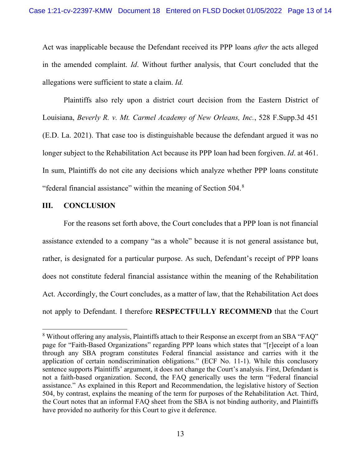Act was inapplicable because the Defendant received its PPP loans *after* the acts alleged in the amended complaint. *Id*. Without further analysis, that Court concluded that the allegations were sufficient to state a claim. *Id.* 

Plaintiffs also rely upon a district court decision from the Eastern District of Louisiana, *Beverly R. v. Mt. Carmel Academy of New Orleans, Inc.*, 528 F.Supp.3d 451 (E.D. La. 2021). That case too is distinguishable because the defendant argued it was no longer subject to the Rehabilitation Act because its PPP loan had been forgiven. *Id*. at 461. In sum, Plaintiffs do not cite any decisions which analyze whether PPP loans constitute "federal financial assistance" within the meaning of Section 504.[8](#page-12-0)

# **III. CONCLUSION**

For the reasons set forth above, the Court concludes that a PPP loan is not financial assistance extended to a company "as a whole" because it is not general assistance but, rather, is designated for a particular purpose. As such, Defendant's receipt of PPP loans does not constitute federal financial assistance within the meaning of the Rehabilitation Act. Accordingly, the Court concludes, as a matter of law, that the Rehabilitation Act does not apply to Defendant. I therefore **RESPECTFULLY RECOMMEND** that the Court

<span id="page-12-0"></span><sup>&</sup>lt;sup>8</sup> Without offering any analysis, Plaintiffs attach to their Response an excerpt from an SBA "FAQ" page for "Faith-Based Organizations" regarding PPP loans which states that "[r]eceipt of a loan through any SBA program constitutes Federal financial assistance and carries with it the application of certain nondiscrimination obligations." (ECF No. 11-1). While this conclusory sentence supports Plaintiffs' argument, it does not change the Court's analysis. First, Defendant is not a faith-based organization. Second, the FAQ generically uses the term "Federal financial assistance." As explained in this Report and Recommendation, the legislative history of Section 504, by contrast, explains the meaning of the term for purposes of the Rehabilitation Act. Third, the Court notes that an informal FAQ sheet from the SBA is not binding authority, and Plaintiffs have provided no authority for this Court to give it deference.